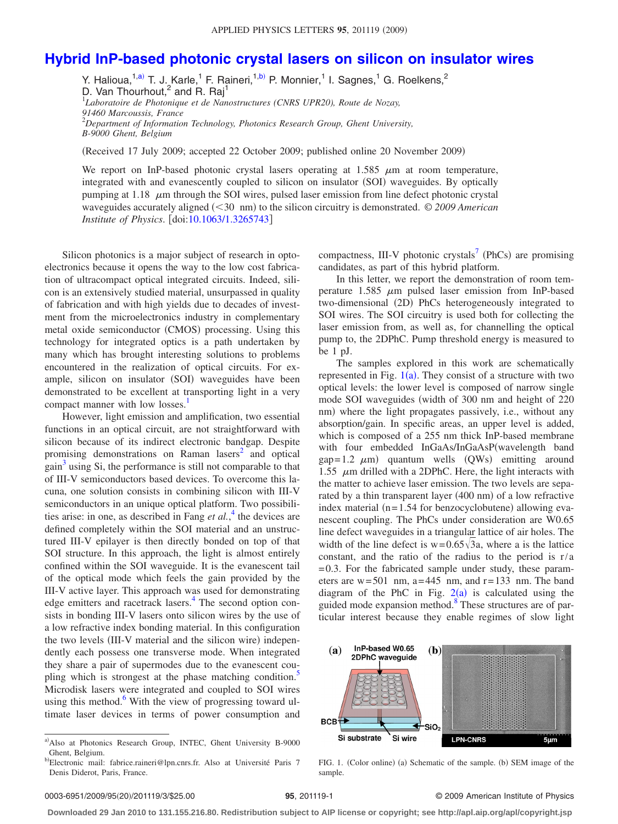## **[Hybrid InP-based photonic crystal lasers on silicon on insulator wires](http://dx.doi.org/10.1063/1.3265743)**

Y. Halioua,<sup>1[,a](#page-0-0))</sup> T. J.<sub>..</sub>Karle,<sup>1</sup> F. Raineri,<sup>1[,b](#page-0-1))</sup> P. Monnier,<sup>1</sup> I. Sagnes,<sup>1</sup> G. Roelkens,<sup>2</sup> D. Van Thourhout, $^2$  and R. Raj<sup>1</sup> 1 *Laboratoire de Photonique et de Nanostructures (CNRS UPR20), Route de Nozay, 91460 Marcoussis, France* 2 *Department of Information Technology, Photonics Research Group, Ghent University, B-9000 Ghent, Belgium*

Received 17 July 2009; accepted 22 October 2009; published online 20 November 2009-

We report on InP-based photonic crystal lasers operating at  $1.585 \mu m$  at room temperature, integrated with and evanescently coupled to silicon on insulator (SOI) waveguides. By optically pumping at 1.18  $\mu$ m through the SOI wires, pulsed laser emission from line defect photonic crystal waveguides accurately aligned (<30 nm) to the silicon circuitry is demonstrated. © 2009 American *Institute of Physics.* [doi[:10.1063/1.3265743](http://dx.doi.org/10.1063/1.3265743)]

Silicon photonics is a major subject of research in optoelectronics because it opens the way to the low cost fabrication of ultracompact optical integrated circuits. Indeed, silicon is an extensively studied material, unsurpassed in quality of fabrication and with high yields due to decades of investment from the microelectronics industry in complementary metal oxide semiconductor (CMOS) processing. Using this technology for integrated optics is a path undertaken by many which has brought interesting solutions to problems encountered in the realization of optical circuits. For example, silicon on insulator (SOI) waveguides have been demonstrated to be excellent at transporting light in a very compact manner with low losses.<sup>1</sup>

However, light emission and amplification, two essential functions in an optical circuit, are not straightforward with silicon because of its indirect electronic bandgap. Despite promising demonstrations on Raman lasers<sup>2</sup> and optical  $gain<sup>3</sup>$  $gain<sup>3</sup>$  $gain<sup>3</sup>$  using Si, the performance is still not comparable to that of III-V semiconductors based devices. To overcome this lacuna, one solution consists in combining silicon with III-V semiconductors in an unique optical platform. Two possibilities arise: in one, as described in Fang *et al.*, [4](#page-2-3) the devices are defined completely within the SOI material and an unstructured III-V epilayer is then directly bonded on top of that SOI structure. In this approach, the light is almost entirely confined within the SOI waveguide. It is the evanescent tail of the optical mode which feels the gain provided by the III-V active layer. This approach was used for demonstrating edge emitters and racetrack lasers.<sup>4</sup> The second option consists in bonding III-V lasers onto silicon wires by the use of a low refractive index bonding material. In this configuration the two levels (III-V material and the silicon wire) independently each possess one transverse mode. When integrated they share a pair of supermodes due to the evanescent coupling which is strongest at the phase matching condition.<sup>5</sup> Microdisk lasers were integrated and coupled to SOI wires using this method. $6$  With the view of progressing toward ultimate laser devices in terms of power consumption and

compactness, III-V photonic crystals<sup>7</sup> (PhCs) are promising candidates, as part of this hybrid platform.

In this letter, we report the demonstration of room temperature 1.585  $\mu$ m pulsed laser emission from InP-based two-dimensional (2D) PhCs heterogeneously integrated to SOI wires. The SOI circuitry is used both for collecting the laser emission from, as well as, for channelling the optical pump to, the 2DPhC. Pump threshold energy is measured to be 1 pJ.

The samples explored in this work are schematically represented in Fig.  $1(a)$  $1(a)$ . They consist of a structure with two optical levels: the lower level is composed of narrow single mode SOI waveguides (width of 300 nm and height of 220 nm) where the light propagates passively, i.e., without any absorption/gain. In specific areas, an upper level is added, which is composed of a 255 nm thick InP-based membrane with four embedded InGaAs/InGaAsP(wavelength band  $gap=1.2 \mu m$  quantum wells (QWs) emitting around 1.55  $\mu$ m drilled with a 2DPhC. Here, the light interacts with the matter to achieve laser emission. The two levels are separated by a thin transparent layer (400 nm) of a low refractive index material  $(n=1.54$  for benzocyclobutene) allowing evanescent coupling. The PhCs under consideration are W0.65 line defect waveguides in a triangular lattice of air holes. The width of the line defect is  $w=0.65\sqrt{3}a$ , where a is the lattice constant, and the ratio of the radius to the period is r/a  $= 0.3$ . For the fabricated sample under study, these parameters are  $w = 501$  nm,  $a = 445$  nm, and  $r = 133$  nm. The band diagram of the PhC in Fig.  $2(a)$  $2(a)$  is calculated using the guided mode expansion method[.8](#page-2-7) These structures are of particular interest because they enable regimes of slow light

<span id="page-0-2"></span>

FIG. 1. (Color online) (a) Schematic of the sample. (b) SEM image of the sample.

## **201119-1 2009 American Institute of Physics 95**, 201119-1

**Downloaded 29 Jan 2010 to 131.155.216.80. Redistribution subject to AIP license or copyright; see http://apl.aip.org/apl/copyright.jsp**

<span id="page-0-1"></span><span id="page-0-0"></span>a) Also at Photonics Research Group, INTEC, Ghent University B-9000 Ghent, Belgium.

b)Electronic mail: fabrice.raineri@lpn.cnrs.fr. Also at Université Paris 7 Denis Diderot, Paris, France.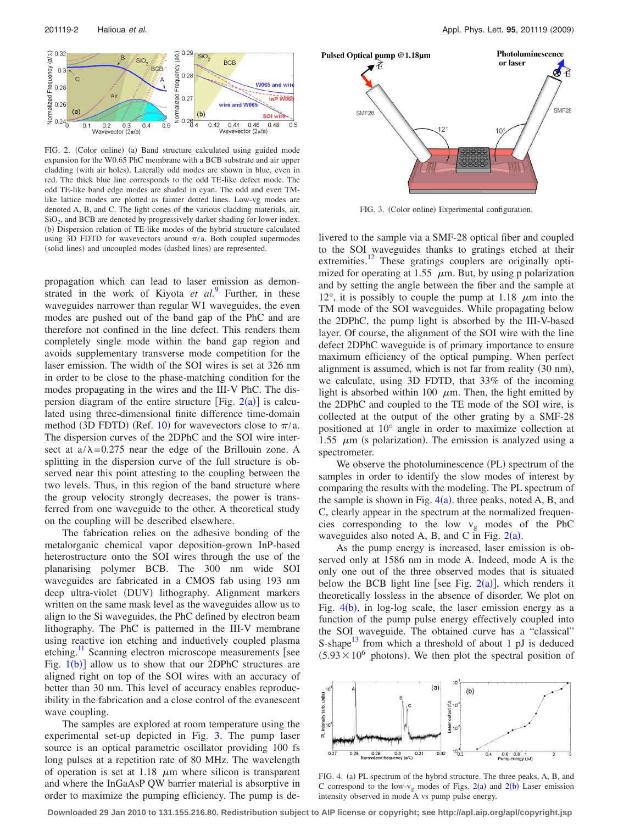<span id="page-1-0"></span>

FIG. 2. (Color online) (a) Band structure calculated using guided mode expansion for the W0.65 PhC membrane with a BCB substrate and air upper cladding (with air holes). Laterally odd modes are shown in blue, even in red. The thick blue line corresponds to the odd TE-like defect mode. The odd TE-like band edge modes are shaded in cyan. The odd and even TMlike lattice modes are plotted as fainter dotted lines. Low-vg modes are denoted A, B, and C. The light cones of the various cladding materials, air, SiO<sub>2</sub>, and BCB are denoted by progressively darker shading for lower index. (b) Dispersion relation of TE-like modes of the hybrid structure calculated using 3D FDTD for wavevectors around  $\pi/a$ . Both coupled supermodes (solid lines) and uncoupled modes (dashed lines) are represented.

propagation which can lead to laser emission as demonstrated in the work of Kiyota *et al.*[9](#page-2-8) Further, in these waveguides narrower than regular W1 waveguides, the even modes are pushed out of the band gap of the PhC and are therefore not confined in the line defect. This renders them completely single mode within the band gap region and avoids supplementary transverse mode competition for the laser emission. The width of the SOI wires is set at 326 nm in order to be close to the phase-matching condition for the modes propagating in the wires and the III-V PhC. The dispersion diagram of the entire structure [Fig.  $2(a)$  $2(a)$ ] is calculated using three-dimensional finite difference time-domain method (3D FDTD) (Ref. [10](#page-2-9)) for wavevectors close to  $\pi/a$ . The dispersion curves of the 2DPhC and the SOI wire intersect at  $a/\lambda$ = 0.275 near the edge of the Brillouin zone. A splitting in the dispersion curve of the full structure is observed near this point attesting to the coupling between the two levels. Thus, in this region of the band structure where the group velocity strongly decreases, the power is transferred from one waveguide to the other. A theoretical study on the coupling will be described elsewhere.

The fabrication relies on the adhesive bonding of the metalorganic chemical vapor deposition-grown InP-based heterostructure onto the SOI wires through the use of the planarising polymer BCB. The 300 nm wide SOI waveguides are fabricated in a CMOS fab using 193 nm deep ultra-violet (DUV) lithography. Alignment markers written on the same mask level as the waveguides allow us to align to the Si waveguides, the PhC defined by electron beam lithography. The PhC is patterned in the III-V membrane using reactive ion etching and inductively coupled plasma etching. $\frac{11}{11}$  $\frac{11}{11}$  $\frac{11}{11}$  Scanning electron microscope measurements [see Fig.  $1(b)$  $1(b)$ ] allow us to show that our 2DPhC structures are aligned right on top of the SOI wires with an accuracy of better than 30 nm. This level of accuracy enables reproducibility in the fabrication and a close control of the evanescent wave coupling.

The samples are explored at room temperature using the experimental set-up depicted in Fig. [3.](#page-1-1) The pump laser source is an optical parametric oscillator providing 100 fs long pulses at a repetition rate of 80 MHz. The wavelength of operation is set at 1.18  $\mu$ m where silicon is transparent and where the InGaAsP QW barrier material is absorptive in order to maximize the pumping efficiency. The pump is de-

<span id="page-1-1"></span>

FIG. 3. (Color online) Experimental configuration.

livered to the sample via a SMF-28 optical fiber and coupled to the SOI waveguides thanks to gratings etched at their extremities.<sup>12</sup> These gratings couplers are originally optimized for operating at 1.55  $\mu$ m. But, by using p polarization and by setting the angle between the fiber and the sample at 12°, it is possibly to couple the pump at 1.18  $\mu$ m into the TM mode of the SOI waveguides. While propagating below the 2DPhC, the pump light is absorbed by the III-V-based layer. Of course, the alignment of the SOI wire with the line defect 2DPhC waveguide is of primary importance to ensure maximum efficiency of the optical pumping. When perfect alignment is assumed, which is not far from reality (30 nm), we calculate, using 3D FDTD, that 33% of the incoming light is absorbed within 100  $\mu$ m. Then, the light emitted by the 2DPhC and coupled to the TE mode of the SOI wire, is collected at the output of the other grating by a SMF-28 positioned at 10° angle in order to maximize collection at 1.55  $\mu$ m (s polarization). The emission is analyzed using a spectrometer.

We observe the photoluminescence (PL) spectrum of the samples in order to identify the slow modes of interest by comparing the results with the modeling. The PL spectrum of the sample is shown in Fig.  $4(a)$  $4(a)$ . three peaks, noted A, B, and C, clearly appear in the spectrum at the normalized frequencies corresponding to the low  $v_g$  modes of the PhC waveguides also noted A, B, and C in Fig.  $2(a)$  $2(a)$ .

As the pump energy is increased, laser emission is observed only at 1586 nm in mode A. Indeed, mode A is the only one out of the three observed modes that is situated below the BCB light line [see Fig.  $2(a)$  $2(a)$ ], which renders it theoretically lossless in the absence of disorder. We plot on Fig.  $4(b)$  $4(b)$ , in log-log scale, the laser emission energy as a function of the pump pulse energy effectively coupled into the SOI waveguide. The obtained curve has a "classical" S-shape<sup>13</sup> from which a threshold of about 1 pJ is deduced  $(5.93 \times 10^6)$  photons). We then plot the spectral position of

<span id="page-1-2"></span>

FIG. 4. (a) PL spectrum of the hybrid structure. The three peaks, A, B, and C correspond to the low- $v_g$  modes of Figs. [2](#page-1-0)(a) and 2(b) Laser emission intensity observed in mode A vs pump pulse energy.

**Downloaded 29 Jan 2010 to 131.155.216.80. Redistribution subject to AIP license or copyright; see http://apl.aip.org/apl/copyright.jsp**